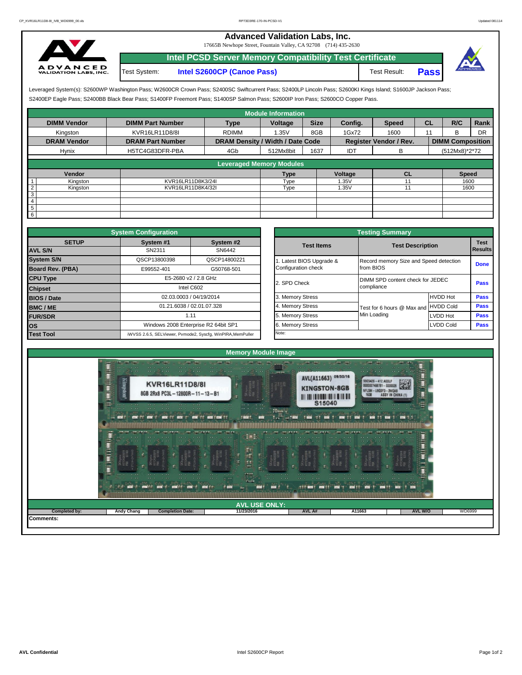## **Advanced Validation Labs, Inc.**

17665B Newhope Street, Fountain Valley, CA 92708 (714) 435-2630



Test System: **Intel S2600CP (Canoe Pass)** Test Result: **Pass Intel PCSD Server Memory Compatibility Test Certificate**



S2400EP Eagle Pass; S2400BB Black Bear Pass; S1400FP Freemont Pass; S1400SP Salmon Pass; S2600IP Iron Pass; S2600CO Copper Pass. Leveraged System(s): S2600WP Washington Pass; W2600CR Crown Pass; S2400SC Swiftcurrent Pass; S2400LP Lincoln Pass; S2600KI Kings Island; S1600JP Jackson Pass;

|                            |                         |                                  | <b>Module Information</b>       |             |         |                               |           |                         |      |
|----------------------------|-------------------------|----------------------------------|---------------------------------|-------------|---------|-------------------------------|-----------|-------------------------|------|
| <b>DIMM Vendor</b>         | <b>DIMM Part Number</b> | <b>Type</b>                      | Voltage                         | <b>Size</b> | Config. | <b>Speed</b>                  | <b>CL</b> | R/C                     | Rank |
| Kingston                   | KVR16LR11D8/8I          | <b>RDIMM</b>                     | 1.35V                           | 8GB         | 1Gx72   | 1600                          | 11        | R.                      | DR   |
| <b>DRAM Vendor</b>         | <b>DRAM Part Number</b> | DRAM Density / Width / Date Code |                                 |             |         | <b>Register Vendor / Rev.</b> |           | <b>DIMM Composition</b> |      |
| Hynix                      | H5TC4G83DFR-PBA         | 4Gb                              | 512Mx8bit                       | 1637        | IDT     | в                             |           | (512Mx8)*2*72           |      |
|                            |                         |                                  |                                 |             |         |                               |           |                         |      |
|                            |                         |                                  | <b>Leveraged Memory Modules</b> |             |         |                               |           |                         |      |
| Vendor                     |                         |                                  | Type                            |             | Voltage | <b>CL</b>                     |           | <b>Speed</b>            |      |
| Kingston                   | KVR16LR11D8K3/24I       |                                  | Type                            |             | 1.35V   |                               |           | 1600                    |      |
| $\overline{2}$<br>Kingston | KVR16LR11D8K4/32I       |                                  | Type                            |             | 1.35V   |                               |           | 1600                    |      |
| $\overline{3}$             |                         |                                  |                                 |             |         |                               |           |                         |      |
| $\overline{4}$             |                         |                                  |                                 |             |         |                               |           |                         |      |
| $5\overline{)}$            |                         |                                  |                                 |             |         |                               |           |                         |      |
| $6\overline{6}$            |                         |                                  |                                 |             |         |                               |           |                         |      |

|                    | <b>System Configuration</b> |                                                             |                       | <b>Testing Summary</b>                 |                  |                 |
|--------------------|-----------------------------|-------------------------------------------------------------|-----------------------|----------------------------------------|------------------|-----------------|
| <b>SETUP</b>       | System #1                   | System #2                                                   | <b>Test Items</b>     | <b>Test Description</b>                |                  | <b>Test</b>     |
| <b>AVL S/N</b>     | SN2311                      | SN6442                                                      |                       |                                        |                  | <b>I</b> Result |
| <b>System S/N</b>  | QSCP13800398                | QSCP14800221                                                | Latest BIOS Upgrade & | Record memory Size and Speed detection |                  | Done            |
| Board Rev. (PBA)   | E99552-401                  | G50768-501                                                  | Configuration check   | from BIOS                              |                  |                 |
| <b>CPU Type</b>    |                             | E5-2680 v2 / 2.8 GHz                                        | 2. SPD Check          | DIMM SPD content check for JEDEC       |                  | Pass            |
| <b>Chipset</b>     |                             | Intel C602                                                  |                       | compliance                             |                  |                 |
| <b>BIOS / Date</b> |                             | 02.03.0003 / 04/19/2014                                     | 3. Memory Stress      |                                        | <b>HVDD Hot</b>  | Pass            |
| <b>BMC/ME</b>      |                             | 01.21.6038 / 02.01.07.328                                   | 4. Memory Stress      | Test for 6 hours @ Max and HVDD Cold   |                  | Pass            |
| <b>FUR/SDR</b>     |                             | 1.11                                                        | 5. Memory Stress      | Min Loading                            | LVDD Hot         | Pass            |
| los                |                             | Windows 2008 Enterprise R2 64bit SP1                        | 6. Memory Stress      |                                        | <b>LVDD Cold</b> | Pass            |
| <b>Test Tool</b>   |                             | iWVSS 2.6.5, SELViewer, Pvmode2, Syscfg, WinPIRA, MemPuller | Note:                 |                                        |                  |                 |

| <b>ifiquration</b> |                                                                                                 |                       | <b>Testing Summary</b>                 |                                  |             |  |  |  |  |
|--------------------|-------------------------------------------------------------------------------------------------|-----------------------|----------------------------------------|----------------------------------|-------------|--|--|--|--|
| vstem #1           | System #2                                                                                       | <b>Test Items</b>     | <b>Test Description</b>                |                                  | <b>Test</b> |  |  |  |  |
| SN2311             | SN6442                                                                                          |                       |                                        |                                  | Results     |  |  |  |  |
| CP13800398         | QSCP14800221                                                                                    | Latest BIOS Upgrade & | Record memory Size and Speed detection | <b>Done</b>                      |             |  |  |  |  |
| 39552-401          | G50768-501                                                                                      | Configuration check   | from BIOS                              |                                  |             |  |  |  |  |
|                    | E5-2680 v2 / 2.8 GHz                                                                            | 2. SPD Check          |                                        | DIMM SPD content check for JEDEC |             |  |  |  |  |
|                    | Intel C602                                                                                      |                       | compliance                             |                                  | Pass        |  |  |  |  |
|                    | 02.03.0003 / 04/19/2014                                                                         | 3. Memory Stress      |                                        | <b>HVDD Hot</b>                  | Pass        |  |  |  |  |
|                    | 4. Memory Stress<br>01.21.6038 / 02.01.07.328<br><b>HVDD Cold</b><br>Test for 6 hours @ Max and |                       |                                        |                                  |             |  |  |  |  |
| 1.11               |                                                                                                 | 5. Memory Stress      | Min Loading                            | <b>LVDD Hot</b>                  | Pass        |  |  |  |  |
|                    | Vindows 2008 Enterprise R2 64bit SP1                                                            | 6. Memory Stress      |                                        | <b>LVDD Cold</b>                 | Pass        |  |  |  |  |
|                    | 6.5, SELViewer, Pvmode2, Syscfg, WinPIRA, MemPuller                                             | Note:                 |                                        |                                  |             |  |  |  |  |